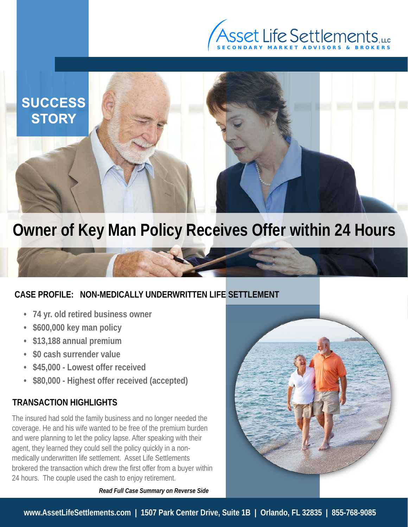



# **Owner of Key Man Policy Receives Offer within 24 Hours**

## **CASE PROFILE: NON-MEDICALLY UNDERWRITTEN LIFE SETTLEMENT**

- **74 yr. old retired business owner**
- **\$600,000 key man policy**
- **\$13,188 annual premium**
- **\$0 cash surrender value**
- **\$45,000 Lowest offer received**
- **\$80,000 Highest offer received (accepted)**

### **TRANSACTION HIGHLIGHTS**

The insured had sold the family business and no longer needed the coverage. He and his wife wanted to be free of the premium burden and were planning to let the policy lapse. After speaking with their agent, they learned they could sell the policy quickly in a nonmedically underwritten life settlement. Asset Life Settlements brokered the transaction which drew the first offer from a buyer within 24 hours. The couple used the cash to enjoy retirement.

*Read Full Case Summary on Reverse Side*